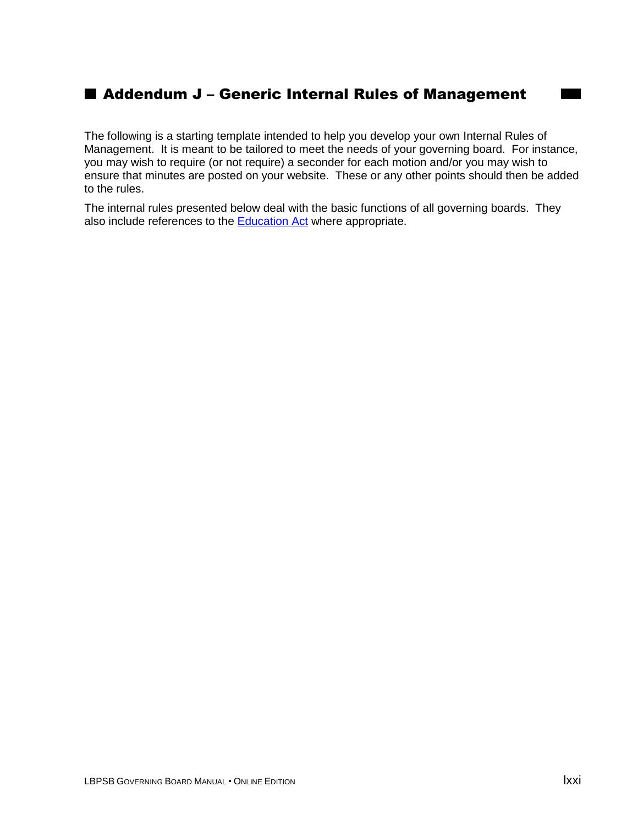### ■ Addendum J - Generic Internal Rules of Management

The following is a starting template intended to help you develop your own Internal Rules of Management. It is meant to be tailored to meet the needs of your governing board. For instance, you may wish to require (or not require) a seconder for each motion and/or you may wish to ensure that minutes are posted on your website. These or any other points should then be added to the rules.

The internal rules presented below deal with the basic functions of all governing boards. They also include references to the [Education Act](http://www2.publicationsduquebec.gouv.qc.ca/dynamicSearch/telecharge.php?type=2&file=/I_13_3/I13_3_A.html) where appropriate.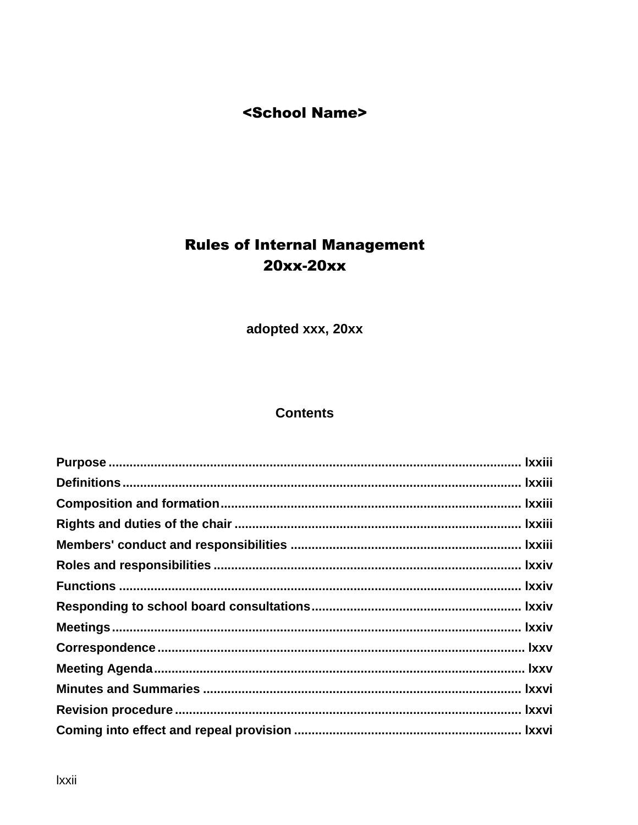### <School Name>

# **Rules of Internal Management** 20xx-20xx

adopted xxx, 20xx

#### **Contents**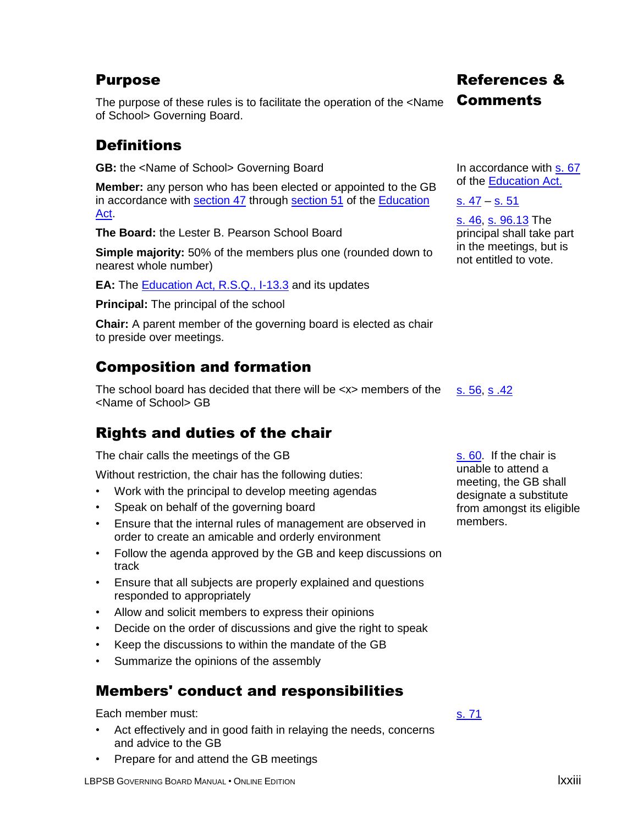### <span id="page-2-0"></span>Purpose

The purpose of these rules is to facilitate the operation of the <Name of School> Governing Board.

## <span id="page-2-1"></span>**Definitions**

**GB:** the <Name of School> Governing Board

**Member:** any person who has been elected or appointed to the GB in accordance with [section 47](http://www2.publicationsduquebec.gouv.qc.ca/dynamicSearch/telecharge.php?type=2&file=/I_13_3/I13_3_A.html#s47) through [section 51](http://www2.publicationsduquebec.gouv.qc.ca/dynamicSearch/telecharge.php?type=2&file=/I_13_3/I13_3_A.html#s51) of the [Education](http://www2.publicationsduquebec.gouv.qc.ca/dynamicSearch/telecharge.php?type=2&file=/I_13_3/I13_3_A.html) [Act.](http://www2.publicationsduquebec.gouv.qc.ca/dynamicSearch/telecharge.php?type=2&file=/I_13_3/I13_3_A.html)

**The Board:** the Lester B. Pearson School Board

**Simple majority:** 50% of the members plus one (rounded down to nearest whole number)

**EA:** The **Education Act, R.S.Q., I-13.3** and its updates

**Principal:** The principal of the school

**Chair:** A parent member of the governing board is elected as chair to preside over meetings.

### <span id="page-2-2"></span>Composition and formation

The school board has decided that there will be <x> members of the <Name of School> GB

# <span id="page-2-3"></span>Rights and duties of the chair

The chair calls the meetings of the GB

Without restriction, the chair has the following duties:

- Work with the principal to develop meeting agendas
- Speak on behalf of the governing board
- Ensure that the internal rules of management are observed in order to create an amicable and orderly environment
- Follow the agenda approved by the GB and keep discussions on track
- Ensure that all subjects are properly explained and questions responded to appropriately
- Allow and solicit members to express their opinions
- Decide on the order of discussions and give the right to speak
- Keep the discussions to within the mandate of the GB
- <span id="page-2-4"></span>• Summarize the opinions of the assembly

### Members' conduct and responsibilities

Each member must:

- Act effectively and in good faith in relaying the needs, concerns and advice to the GB
- Prepare for and attend the GB meetings

References & Comments

In accordance with [s. 67](http://www2.publicationsduquebec.gouv.qc.ca/dynamicSearch/telecharge.php?type=2&file=/I_13_3/I13_3_A.html#s67) of the [Education Act.](http://www2.publicationsduquebec.gouv.qc.ca/dynamicSearch/telecharge.php?type=2&file=/I_13_3/I13_3_A.html)

s.  $47 - s. 51$  $47 - s. 51$ 

[s. 46,](http://www2.publicationsduquebec.gouv.qc.ca/dynamicSearch/telecharge.php?type=2&file=/I_13_3/I13_3_A.html#s46) [s. 96.13](http://www2.publicationsduquebec.gouv.qc.ca/dynamicSearch/telecharge.php?type=2&file=/I_13_3/I13_3_A.html#s96.13) The principal shall take part in the meetings, but is not entitled to vote.

[s. 56,](http://www2.publicationsduquebec.gouv.qc.ca/dynamicSearch/telecharge.php?type=2&file=/I_13_3/I13_3_A.html#s56) s [.42](http://www2.publicationsduquebec.gouv.qc.ca/dynamicSearch/telecharge.php?type=2&file=/I_13_3/I13_3_A.html#s42)

[s. 60.](http://www2.publicationsduquebec.gouv.qc.ca/dynamicSearch/telecharge.php?type=2&file=/I_13_3/I13_3_A.html#s60) If the chair is unable to attend a meeting, the GB shall designate a substitute from amongst its eligible members.

[s. 71](http://www2.publicationsduquebec.gouv.qc.ca/dynamicSearch/telecharge.php?type=2&file=/I_13_3/I13_3_A.html#s71)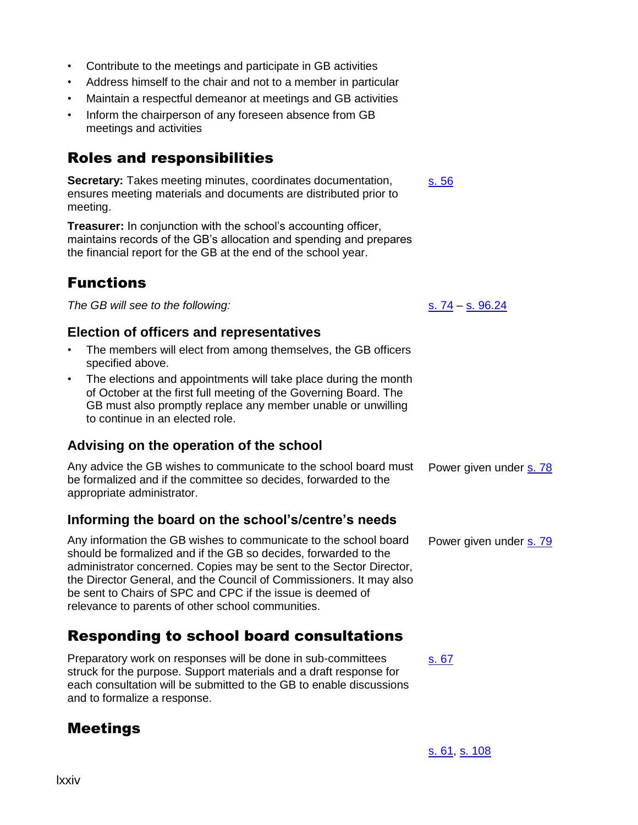lxxiv

- Contribute to the meetings and participate in GB activities
- Address himself to the chair and not to a member in particular
- Maintain a respectful demeanor at meetings and GB activities
- Inform the chairperson of any foreseen absence from GB meetings and activities

### <span id="page-3-0"></span>Roles and responsibilities

**Secretary:** Takes meeting minutes, coordinates documentation, ensures meeting materials and documents are distributed prior to meeting.

**Treasurer:** In conjunction with the school's accounting officer, maintains records of the GB's allocation and spending and prepares the financial report for the GB at the end of the school year.

# <span id="page-3-1"></span>Functions

*The GB will see to the following:* [s. 74](http://www2.publicationsduquebec.gouv.qc.ca/dynamicSearch/telecharge.php?type=2&file=/I_13_3/I13_3_A.html#s74) – [s. 96.24](http://www2.publicationsduquebec.gouv.qc.ca/dynamicSearch/telecharge.php?type=2&file=/I_13_3/I13_3_A.html#s96.24)

#### **Election of officers and representatives**

- The members will elect from among themselves, the GB officers specified above.
- The elections and appointments will take place during the month of October at the first full meeting of the Governing Board. The GB must also promptly replace any member unable or unwilling to continue in an elected role.

### **Advising on the operation of the school**

Any advice the GB wishes to communicate to the school board must be formalized and if the committee so decides, forwarded to the appropriate administrator. Power given under [s. 78](http://www2.publicationsduquebec.gouv.qc.ca/dynamicSearch/telecharge.php?type=2&file=/I_13_3/I13_3_A.html#s78)

### **Informing the board on the school's/centre's needs**

Any information the GB wishes to communicate to the school board should be formalized and if the GB so decides, forwarded to the administrator concerned. Copies may be sent to the Sector Director, the Director General, and the Council of Commissioners. It may also be sent to Chairs of SPC and CPC if the issue is deemed of relevance to parents of other school communities.

# <span id="page-3-2"></span>Responding to school board consultations

Preparatory work on responses will be done in sub-committees struck for the purpose. Support materials and a draft response for each consultation will be submitted to the GB to enable discussions and to formalize a response.

## <span id="page-3-3"></span>Meetings

Power given under [s. 79](http://www2.publicationsduquebec.gouv.qc.ca/dynamicSearch/telecharge.php?type=2&file=/I_13_3/I13_3_A.html#s79)

[s. 67](http://www2.publicationsduquebec.gouv.qc.ca/dynamicSearch/telecharge.php?type=2&file=/I_13_3/I13_3_A.html#s67)

[s. 61,](http://www2.publicationsduquebec.gouv.qc.ca/dynamicSearch/telecharge.php?type=2&file=/I_13_3/I13_3_A.html#s61) s. [108](http://www2.publicationsduquebec.gouv.qc.ca/dynamicSearch/telecharge.php?type=2&file=/I_13_3/I13_3_A.html#s108)

[s. 56](http://www2.publicationsduquebec.gouv.qc.ca/dynamicSearch/telecharge.php?type=2&file=/I_13_3/I13_3_A.html#s56)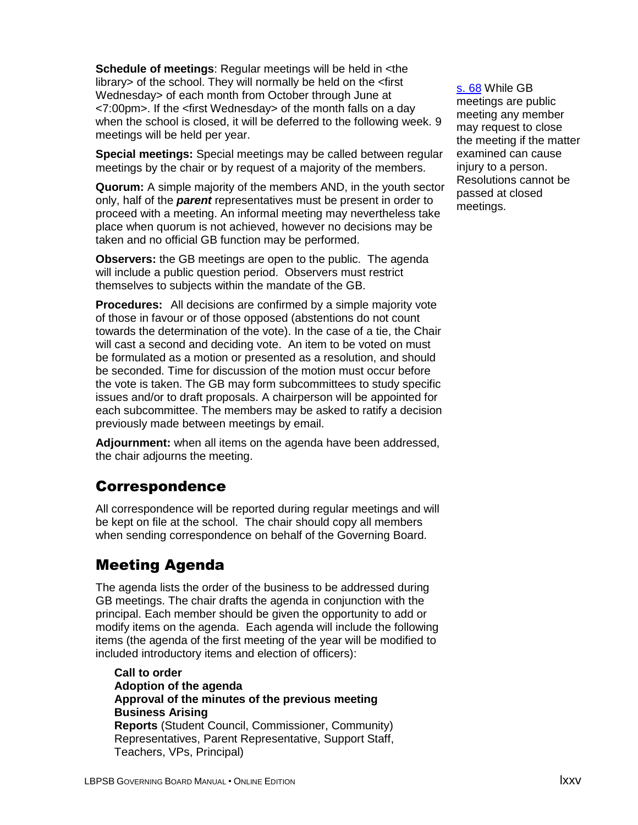**Schedule of meetings**: Regular meetings will be held in <the library> of the school. They will normally be held on the <first Wednesday> of each month from October through June at <7:00pm>. If the <first Wednesday> of the month falls on a day when the school is closed, it will be deferred to the following week. 9 meetings will be held per year.

**Special meetings:** Special meetings may be called between regular meetings by the chair or by request of a majority of the members.

**Quorum:** A simple majority of the members AND, in the youth sector only, half of the *parent* representatives must be present in order to proceed with a meeting. An informal meeting may nevertheless take place when quorum is not achieved, however no decisions may be taken and no official GB function may be performed.

**Observers:** the GB meetings are open to the public. The agenda will include a public question period. Observers must restrict themselves to subjects within the mandate of the GB.

**Procedures:** All decisions are confirmed by a simple majority vote of those in favour or of those opposed (abstentions do not count towards the determination of the vote). In the case of a tie, the Chair will cast a second and deciding vote. An item to be voted on must be formulated as a motion or presented as a resolution, and should be seconded. Time for discussion of the motion must occur before the vote is taken. The GB may form subcommittees to study specific issues and/or to draft proposals. A chairperson will be appointed for each subcommittee. The members may be asked to ratify a decision previously made between meetings by email.

**Adjournment:** when all items on the agenda have been addressed, the chair adjourns the meeting.

### <span id="page-4-0"></span>Correspondence

All correspondence will be reported during regular meetings and will be kept on file at the school. The chair should copy all members when sending correspondence on behalf of the Governing Board.

## <span id="page-4-1"></span>Meeting Agenda

The agenda lists the order of the business to be addressed during GB meetings. The chair drafts the agenda in conjunction with the principal. Each member should be given the opportunity to add or modify items on the agenda. Each agenda will include the following items (the agenda of the first meeting of the year will be modified to included introductory items and election of officers):

#### **Call to order Adoption of the agenda Approval of the minutes of the previous meeting Business Arising Reports** (Student Council, Commissioner, Community) Representatives, Parent Representative, Support Staff, Teachers, VPs, Principal)

[s. 68](http://www2.publicationsduquebec.gouv.qc.ca/dynamicSearch/telecharge.php?type=2&file=/I_13_3/I13_3_A.html#s68) While GB meetings are public meeting any member may request to close the meeting if the matter examined can cause injury to a person. Resolutions cannot be passed at closed meetings.